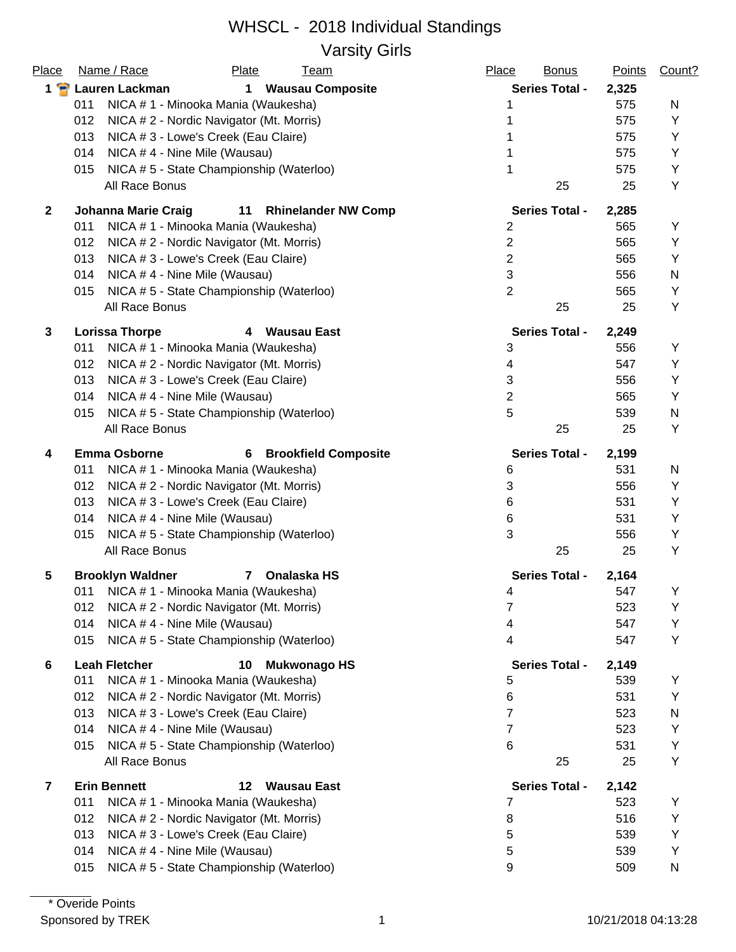#### WHSCL - 2018 Individual Standings Varsity Girls

| Place         | Name / Race<br><b>Plate</b><br><u>Team</u>                     | Place<br><b>Bonus</b> | <b>Points</b> | Count? |
|---------------|----------------------------------------------------------------|-----------------------|---------------|--------|
| $1$ $\bullet$ | Lauren Lackman<br><b>Wausau Composite</b><br>$\mathbf 1$       | <b>Series Total -</b> | 2,325         |        |
|               | NICA #1 - Minooka Mania (Waukesha)<br>011                      | 1                     | 575           | N      |
|               | 012<br>NICA # 2 - Nordic Navigator (Mt. Morris)                |                       | 575           | Υ      |
|               | 013<br>NICA # 3 - Lowe's Creek (Eau Claire)                    |                       | 575           | Y      |
|               | 014<br>NICA #4 - Nine Mile (Wausau)                            |                       | 575           | Υ      |
|               | NICA #5 - State Championship (Waterloo)<br>015                 | 1                     | 575           | Υ      |
|               | All Race Bonus                                                 | 25                    | 25            | Υ      |
| $\mathbf{2}$  | <b>Johanna Marie Craig</b><br>11<br><b>Rhinelander NW Comp</b> | <b>Series Total -</b> | 2,285         |        |
|               | NICA # 1 - Minooka Mania (Waukesha)<br>011                     | $\overline{2}$        | 565           | Υ      |
|               | NICA # 2 - Nordic Navigator (Mt. Morris)<br>012                | $\overline{2}$        | 565           | Υ      |
|               | 013<br>NICA # 3 - Lowe's Creek (Eau Claire)                    | $\overline{2}$        | 565           | Y      |
|               | NICA #4 - Nine Mile (Wausau)<br>014                            | 3                     | 556           | N      |
|               | NICA #5 - State Championship (Waterloo)<br>015                 | $\overline{2}$        | 565           | Υ      |
|               | All Race Bonus                                                 | 25                    | 25            | Υ      |
| $\mathbf{3}$  | <b>Lorissa Thorpe</b><br>4 Wausau East                         | <b>Series Total -</b> | 2,249         |        |
|               | NICA # 1 - Minooka Mania (Waukesha)<br>011                     | 3                     | 556           | Υ      |
|               | NICA # 2 - Nordic Navigator (Mt. Morris)<br>012                | 4                     | 547           | Υ      |
|               | 013<br>NICA # 3 - Lowe's Creek (Eau Claire)                    | 3                     | 556           | Y      |
|               | NICA #4 - Nine Mile (Wausau)<br>014                            | $\overline{2}$        | 565           | Y      |
|               | NICA #5 - State Championship (Waterloo)<br>015                 | 5                     | 539           | N      |
|               | All Race Bonus                                                 | 25                    | 25            | Υ      |
| 4             | <b>Emma Osborne</b><br><b>6</b> Brookfield Composite           | <b>Series Total -</b> | 2,199         |        |
|               | NICA # 1 - Minooka Mania (Waukesha)<br>011                     | 6                     | 531           | N      |
|               | 012<br>NICA # 2 - Nordic Navigator (Mt. Morris)                | 3                     | 556           | Υ      |
|               | 013<br>NICA # 3 - Lowe's Creek (Eau Claire)                    | 6                     | 531           | Υ      |
|               | NICA #4 - Nine Mile (Wausau)<br>014                            | 6                     | 531           | Y      |
|               | NICA #5 - State Championship (Waterloo)<br>015                 | 3                     | 556           | Υ      |
|               | All Race Bonus                                                 | 25                    | 25            | Y      |
| 5             | <b>Brooklyn Waldner</b><br>Onalaska HS<br>7                    | <b>Series Total -</b> | 2,164         |        |
|               | NICA # 1 - Minooka Mania (Waukesha)<br>011                     | 4                     | 547           | Υ      |
|               | NICA # 2 - Nordic Navigator (Mt. Morris)<br>012                | 7                     | 523           | Υ      |
|               | 014<br>NICA #4 - Nine Mile (Wausau)                            | 4                     | 547           | Υ      |
|               | NICA #5 - State Championship (Waterloo)<br>015                 | 4                     | 547           | Υ      |
| 6             | <b>Leah Fletcher</b><br><b>Mukwonago HS</b><br>10              | <b>Series Total -</b> | 2,149         |        |
|               | 011<br>NICA # 1 - Minooka Mania (Waukesha)                     | 5                     | 539           | Y      |
|               | 012<br>NICA # 2 - Nordic Navigator (Mt. Morris)                | 6                     | 531           | Υ      |
|               | 013<br>NICA # 3 - Lowe's Creek (Eau Claire)                    | $\overline{7}$        | 523           | N      |
|               | 014<br>NICA # 4 - Nine Mile (Wausau)                           | 7                     | 523           | Y      |
|               | NICA #5 - State Championship (Waterloo)<br>015                 | 6                     | 531           | Υ      |
|               | All Race Bonus                                                 | 25                    | 25            | Υ      |
| 7             | <b>Erin Bennett</b><br>12<br><b>Wausau East</b>                | <b>Series Total -</b> | 2,142         |        |
|               | NICA # 1 - Minooka Mania (Waukesha)<br>011                     | 7                     | 523           | Y      |
|               | NICA # 2 - Nordic Navigator (Mt. Morris)<br>012                | 8                     | 516           | Υ      |
|               | 013<br>NICA # 3 - Lowe's Creek (Eau Claire)                    | 5                     | 539           | Υ      |
|               | NICA #4 - Nine Mile (Wausau)<br>014                            | 5                     | 539           | Υ      |
|               | NICA # 5 - State Championship (Waterloo)<br>015                | 9                     | 509           | N      |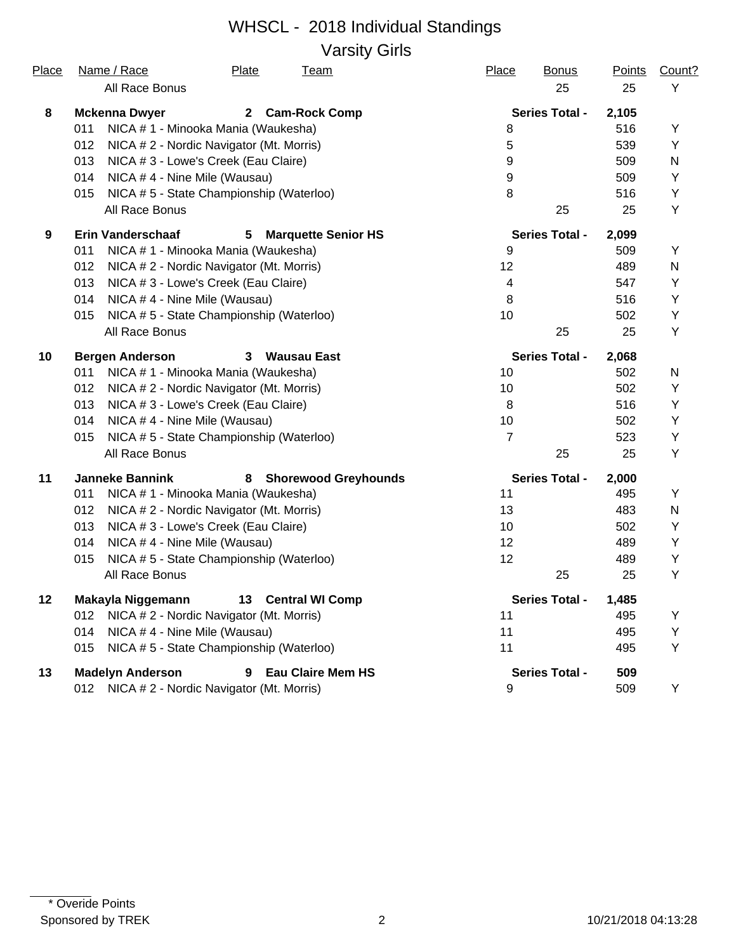# WHSCL - 2018 Individual Standings Varsity Girls

| Place | Name / Race                          | Plate                                    | <u>Team</u>                 | Place            | <b>Bonus</b>          | <b>Points</b> | Count? |
|-------|--------------------------------------|------------------------------------------|-----------------------------|------------------|-----------------------|---------------|--------|
|       | All Race Bonus                       |                                          |                             |                  | 25                    | 25            | Y      |
| 8     | <b>Mckenna Dwyer</b>                 | $\mathbf{2}$                             | <b>Cam-Rock Comp</b>        |                  | <b>Series Total -</b> | 2,105         |        |
|       | 011                                  | NICA # 1 - Minooka Mania (Waukesha)      |                             | 8                |                       | 516           | Υ      |
|       | 012                                  | NICA # 2 - Nordic Navigator (Mt. Morris) |                             | 5                |                       | 539           | Y      |
|       | 013                                  | NICA # 3 - Lowe's Creek (Eau Claire)     |                             | $\boldsymbol{9}$ |                       | 509           | N      |
|       | 014                                  | NICA #4 - Nine Mile (Wausau)             |                             | 9                |                       | 509           | Υ      |
|       | 015                                  | NICA #5 - State Championship (Waterloo)  |                             | 8                |                       | 516           | Y      |
|       | All Race Bonus                       |                                          |                             |                  | 25                    | 25            | Y      |
| 9     | <b>Erin Vanderschaaf</b>             | 5                                        | <b>Marquette Senior HS</b>  |                  | <b>Series Total -</b> | 2,099         |        |
|       | 011                                  | NICA # 1 - Minooka Mania (Waukesha)      |                             | 9                |                       | 509           | Y      |
|       | 012                                  | NICA # 2 - Nordic Navigator (Mt. Morris) |                             | 12               |                       | 489           | N      |
|       | 013                                  | NICA # 3 - Lowe's Creek (Eau Claire)     |                             | 4                |                       | 547           | Y      |
|       | 014                                  | NICA #4 - Nine Mile (Wausau)             |                             | 8                |                       | 516           | Y      |
|       | 015                                  | NICA #5 - State Championship (Waterloo)  |                             | 10               |                       | 502           | Υ      |
|       | All Race Bonus                       |                                          |                             |                  | 25                    | 25            | Υ      |
| 10    | <b>Bergen Anderson</b>               |                                          | 3 Wausau East               |                  | <b>Series Total -</b> | 2,068         |        |
|       | 011                                  | NICA # 1 - Minooka Mania (Waukesha)      |                             | 10               |                       | 502           | N      |
|       | 012                                  | NICA # 2 - Nordic Navigator (Mt. Morris) |                             | 10               |                       | 502           | Y      |
|       | 013                                  | NICA # 3 - Lowe's Creek (Eau Claire)     |                             | 8                |                       | 516           | Υ      |
|       | 014                                  | NICA #4 - Nine Mile (Wausau)             |                             | 10               |                       | 502           | Υ      |
|       | 015                                  | NICA #5 - State Championship (Waterloo)  |                             | 7                |                       | 523           | Υ      |
|       | All Race Bonus                       |                                          |                             |                  | 25                    | 25            | Y      |
| 11    | <b>Janneke Bannink</b>               | 8                                        | <b>Shorewood Greyhounds</b> |                  | <b>Series Total -</b> | 2,000         |        |
|       | 011                                  | NICA # 1 - Minooka Mania (Waukesha)      |                             | 11               |                       | 495           | Y      |
|       | 012                                  | NICA # 2 - Nordic Navigator (Mt. Morris) |                             | 13               |                       | 483           | N      |
|       | 013                                  | NICA # 3 - Lowe's Creek (Eau Claire)     |                             | 10               |                       | 502           | Y      |
|       | 014                                  | NICA #4 - Nine Mile (Wausau)             |                             | 12               |                       | 489           | Υ      |
|       | 015                                  | NICA # 5 - State Championship (Waterloo) |                             | 12               |                       | 489           | Υ      |
|       | All Race Bonus                       |                                          |                             |                  | 25                    | 25            | Υ      |
| 12    | Makayla Niggemann 13 Central WI Comp |                                          |                             |                  | <b>Series Total -</b> | 1,485         |        |
|       | 012                                  | NICA # 2 - Nordic Navigator (Mt. Morris) |                             | 11               |                       | 495           | Υ      |
|       | 014                                  | NICA #4 - Nine Mile (Wausau)             |                             | 11               |                       | 495           | Y      |
|       | 015                                  | NICA #5 - State Championship (Waterloo)  |                             | 11               |                       | 495           | Υ      |
| 13    | <b>Madelyn Anderson</b>              | 9                                        | <b>Eau Claire Mem HS</b>    |                  | <b>Series Total -</b> | 509           |        |
|       | 012                                  | NICA #2 - Nordic Navigator (Mt. Morris)  |                             | 9                |                       | 509           | Υ      |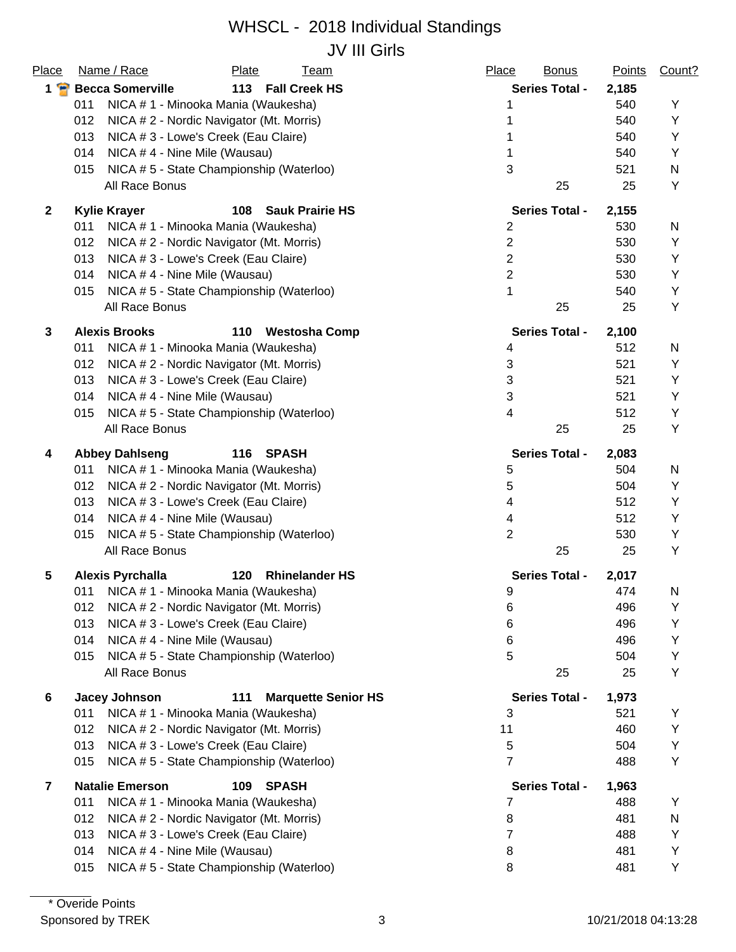# WHSCL - 2018 Individual Standings JV III Girls

| Place        | Name / Race                                     | Plate     | <b>Team</b>                | Place<br><b>Bonus</b> | <b>Points</b> | Count? |
|--------------|-------------------------------------------------|-----------|----------------------------|-----------------------|---------------|--------|
| $1 \bullet$  | <b>Becca Somerville</b>                         |           | 113 Fall Creek HS          | <b>Series Total -</b> | 2,185         |        |
|              | NICA # 1 - Minooka Mania (Waukesha)<br>011      |           |                            |                       | 540           | Y      |
|              | 012<br>NICA # 2 - Nordic Navigator (Mt. Morris) |           |                            |                       | 540           | Υ      |
|              | 013<br>NICA # 3 - Lowe's Creek (Eau Claire)     |           |                            |                       | 540           | Y      |
|              | NICA #4 - Nine Mile (Wausau)<br>014             |           |                            |                       | 540           | Y      |
|              | NICA #5 - State Championship (Waterloo)<br>015  |           |                            | 3                     | 521           | N      |
|              | All Race Bonus                                  |           |                            | 25                    | 25            | Υ      |
| $\mathbf{2}$ | <b>Kylie Krayer</b>                             | 108       | <b>Sauk Prairie HS</b>     | <b>Series Total -</b> | 2,155         |        |
|              | NICA # 1 - Minooka Mania (Waukesha)<br>011      |           |                            | $\overline{c}$        | 530           | N      |
|              | 012<br>NICA # 2 - Nordic Navigator (Mt. Morris) |           |                            | $\mathbf{2}$          | 530           | Y      |
|              | 013<br>NICA # 3 - Lowe's Creek (Eau Claire)     |           |                            | $\overline{2}$        | 530           | Y      |
|              | 014<br>NICA #4 - Nine Mile (Wausau)             |           |                            | $\overline{2}$        | 530           | Y      |
|              | NICA #5 - State Championship (Waterloo)<br>015  |           |                            | 1                     | 540           | Y      |
|              | All Race Bonus                                  |           |                            | 25                    | 25            | Y      |
| 3            | <b>Alexis Brooks</b>                            | 110       | <b>Westosha Comp</b>       | <b>Series Total -</b> | 2,100         |        |
|              | NICA # 1 - Minooka Mania (Waukesha)<br>011      |           |                            | 4                     | 512           | N      |
|              | 012<br>NICA # 2 - Nordic Navigator (Mt. Morris) |           |                            | 3                     | 521           | Y      |
|              | 013<br>NICA # 3 - Lowe's Creek (Eau Claire)     |           |                            | 3                     | 521           | Y      |
|              | NICA #4 - Nine Mile (Wausau)<br>014             |           |                            | 3                     | 521           | Y      |
|              | NICA #5 - State Championship (Waterloo)<br>015  |           |                            | 4                     | 512           | Y      |
|              | All Race Bonus                                  |           |                            | 25                    | 25            | Υ      |
| 4            | <b>Abbey Dahlseng</b>                           | 116 SPASH |                            | <b>Series Total -</b> | 2,083         |        |
|              | NICA # 1 - Minooka Mania (Waukesha)<br>011      |           |                            | 5                     | 504           | N      |
|              | 012<br>NICA # 2 - Nordic Navigator (Mt. Morris) |           |                            | 5                     | 504           | Υ      |
|              | 013<br>NICA # 3 - Lowe's Creek (Eau Claire)     |           |                            | 4                     | 512           | Y      |
|              | 014<br>NICA #4 - Nine Mile (Wausau)             |           |                            | 4                     | 512           | Y      |
|              | NICA #5 - State Championship (Waterloo)<br>015  |           |                            | $\overline{2}$        | 530           | Y      |
|              | All Race Bonus                                  |           |                            | 25                    | 25            | Y      |
| 5            | <b>Alexis Pyrchalla</b>                         | 120       | <b>Rhinelander HS</b>      | <b>Series Total -</b> | 2,017         |        |
|              | NICA # 1 - Minooka Mania (Waukesha)<br>011      |           |                            | 9                     | 474           | N      |
|              | NICA # 2 - Nordic Navigator (Mt. Morris)<br>012 |           |                            | 6                     | 496           | Υ      |
|              | 013<br>NICA # 3 - Lowe's Creek (Eau Claire)     |           |                            | 6                     | 496           | Υ      |
|              | 014<br>NICA #4 - Nine Mile (Wausau)             |           |                            | 6                     | 496           | Y      |
|              | NICA #5 - State Championship (Waterloo)<br>015  |           |                            | 5                     | 504           | Y      |
|              | All Race Bonus                                  |           |                            | 25                    | 25            | Y      |
| 6            | Jacey Johnson                                   | 111       | <b>Marquette Senior HS</b> | <b>Series Total -</b> | 1,973         |        |
|              | NICA # 1 - Minooka Mania (Waukesha)<br>011      |           |                            | 3                     | 521           | Y      |
|              | 012<br>NICA # 2 - Nordic Navigator (Mt. Morris) |           |                            | 11                    | 460           | Y      |
|              | 013<br>NICA # 3 - Lowe's Creek (Eau Claire)     |           |                            | 5                     | 504           | Υ      |
|              | NICA #5 - State Championship (Waterloo)<br>015  |           |                            | $\overline{7}$        | 488           | Y      |
| 7            | <b>Natalie Emerson</b>                          | 109       | <b>SPASH</b>               | <b>Series Total -</b> | 1,963         |        |
|              | NICA # 1 - Minooka Mania (Waukesha)<br>011      |           |                            | 7                     | 488           | Y      |
|              | 012<br>NICA # 2 - Nordic Navigator (Mt. Morris) |           |                            | 8                     | 481           | N      |
|              | 013<br>NICA # 3 - Lowe's Creek (Eau Claire)     |           |                            | 7                     | 488           | Y      |
|              | NICA #4 - Nine Mile (Wausau)<br>014             |           |                            | 8                     | 481           | Υ      |
|              | NICA #5 - State Championship (Waterloo)<br>015  |           |                            | 8                     | 481           | Υ      |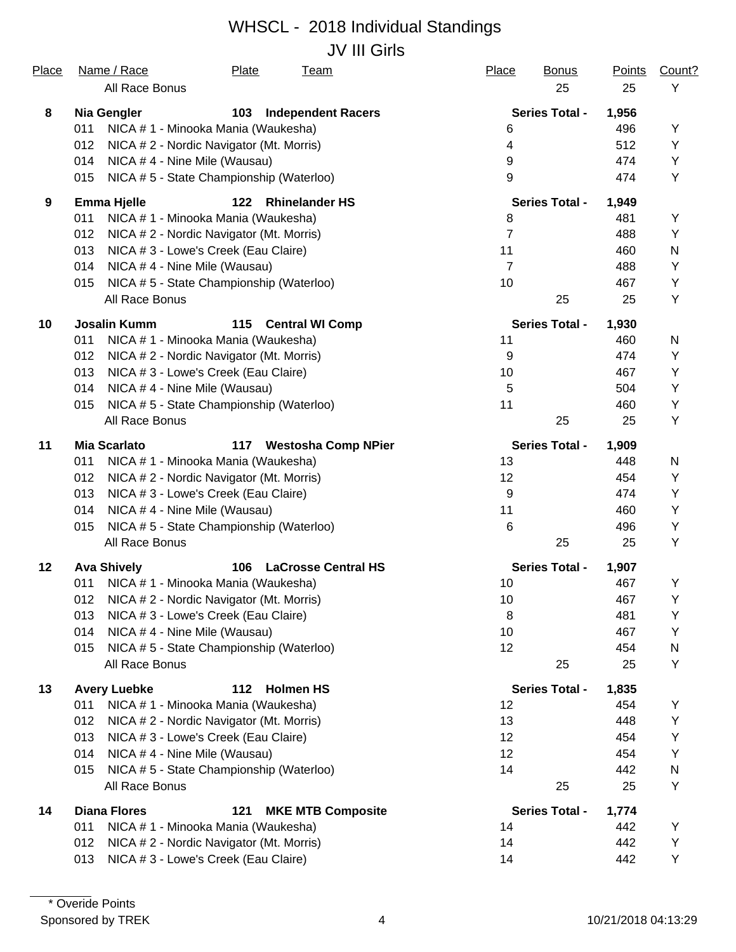## WHSCL - 2018 Individual Standings JV III Girls

| Place   | Name / Race<br>Plate<br><u>Team</u>                     | Place<br><b>Bonus</b> | <u>Points</u> | Count?       |
|---------|---------------------------------------------------------|-----------------------|---------------|--------------|
|         | All Race Bonus                                          | 25                    | 25            | Y            |
| 8       | Nia Gengler<br>103<br><b>Independent Racers</b>         | <b>Series Total -</b> | 1,956         |              |
|         | NICA #1 - Minooka Mania (Waukesha)<br>011               | 6                     | 496           | Υ            |
|         | 012<br>NICA # 2 - Nordic Navigator (Mt. Morris)         | 4                     | 512           | Y            |
|         | NICA #4 - Nine Mile (Wausau)<br>014                     | 9                     | 474           | Y            |
|         | NICA #5 - State Championship (Waterloo)<br>015          | 9                     | 474           | Y            |
| 9       | <b>Emma Hjelle</b><br>122<br><b>Rhinelander HS</b>      | <b>Series Total -</b> | 1,949         |              |
|         | 011<br>NICA # 1 - Minooka Mania (Waukesha)              | 8                     | 481           | Y            |
|         | 012<br>NICA # 2 - Nordic Navigator (Mt. Morris)         | 7                     | 488           | Y            |
|         | 013<br>NICA # 3 - Lowe's Creek (Eau Claire)             | 11                    | 460           | $\mathsf{N}$ |
|         | 014<br>NICA #4 - Nine Mile (Wausau)                     | $\overline{7}$        | 488           | Υ            |
|         | NICA #5 - State Championship (Waterloo)<br>015          | 10                    | 467           | Y            |
|         | All Race Bonus                                          | 25                    | 25            | Y            |
| 10      | <b>Josalin Kumm</b><br>115<br><b>Central WI Comp</b>    | <b>Series Total -</b> | 1,930         |              |
|         | NICA # 1 - Minooka Mania (Waukesha)<br>011              | 11                    | 460           | N            |
|         | 012<br>NICA # 2 - Nordic Navigator (Mt. Morris)         | 9                     | 474           | Υ            |
|         | 013<br>NICA # 3 - Lowe's Creek (Eau Claire)             | 10                    | 467           | Y            |
|         | NICA #4 - Nine Mile (Wausau)<br>014                     | 5                     | 504           | Y            |
|         | NICA #5 - State Championship (Waterloo)<br>015          | 11                    | 460           | Y            |
|         | All Race Bonus                                          | 25                    | 25            | Y            |
| 11      | <b>Mia Scarlato</b><br>117 Westosha Comp NPier          | <b>Series Total -</b> | 1,909         |              |
|         | NICA # 1 - Minooka Mania (Waukesha)<br>011              | 13                    | 448           | N            |
|         | 012<br>NICA # 2 - Nordic Navigator (Mt. Morris)         | 12                    | 454           | Y            |
|         | 013<br>NICA # 3 - Lowe's Creek (Eau Claire)             | 9                     | 474           | Y            |
|         | 014<br>NICA #4 - Nine Mile (Wausau)                     | 11                    | 460           | Y            |
|         | NICA #5 - State Championship (Waterloo)<br>015          | 6                     | 496           | Y            |
|         | All Race Bonus                                          | 25                    | 25            | Y            |
| $12 \,$ | <b>Ava Shively</b><br>106<br><b>LaCrosse Central HS</b> | <b>Series Total -</b> | 1,907         |              |
|         | NICA # 1 - Minooka Mania (Waukesha)<br>011              | 10                    | 467           | Υ            |
|         | 012 NICA # 2 - Nordic Navigator (Mt. Morris)            | 10 <sup>°</sup>       | 467           | Y            |
|         | NICA # 3 - Lowe's Creek (Eau Claire)<br>013             | 8                     | 481           | Y            |
|         | 014<br>NICA #4 - Nine Mile (Wausau)                     | 10                    | 467           | Υ            |
|         | NICA #5 - State Championship (Waterloo)<br>015          | 12                    | 454           | N            |
|         | All Race Bonus                                          | 25                    | 25            | Y            |
| 13      | <b>Avery Luebke</b><br>112 Holmen HS                    | <b>Series Total -</b> | 1,835         |              |
|         | NICA # 1 - Minooka Mania (Waukesha)<br>011              | 12                    | 454           | Υ            |
|         | 012<br>NICA # 2 - Nordic Navigator (Mt. Morris)         | 13                    | 448           | Υ            |
|         | NICA # 3 - Lowe's Creek (Eau Claire)<br>013             | 12                    | 454           | Υ            |
|         | 014<br>NICA #4 - Nine Mile (Wausau)                     | 12                    | 454           | Υ            |
|         | NICA #5 - State Championship (Waterloo)<br>015          | 14                    | 442           | N            |
|         | All Race Bonus                                          | 25                    | 25            | Υ            |
| 14      | <b>Diana Flores</b><br>121<br><b>MKE MTB Composite</b>  | <b>Series Total -</b> | 1,774         |              |
|         | NICA # 1 - Minooka Mania (Waukesha)<br>011              | 14                    | 442           | Y            |
|         | NICA #2 - Nordic Navigator (Mt. Morris)<br>012          | 14                    | 442           | Y            |
|         | NICA # 3 - Lowe's Creek (Eau Claire)<br>013             | 14                    | 442           | Υ            |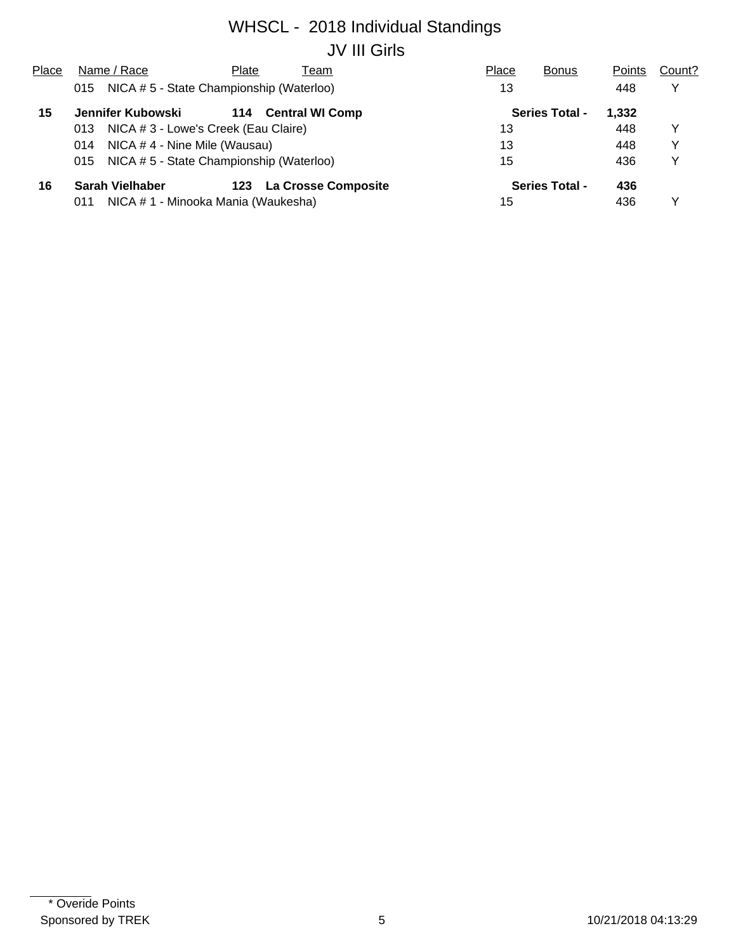# WHSCL - 2018 Individual Standings JV III Girls

| Place                                          |     | Name / Race                  | Plate                                    | Team                       | Place | <b>Bonus</b>          | Points | Count? |
|------------------------------------------------|-----|------------------------------|------------------------------------------|----------------------------|-------|-----------------------|--------|--------|
|                                                | 015 |                              | NICA # 5 - State Championship (Waterloo) |                            | 13    |                       | 448    | v      |
| 15                                             |     | Jennifer Kubowski            | 114                                      | <b>Central WI Comp</b>     |       | <b>Series Total -</b> | 1,332  |        |
|                                                | 013 |                              | NICA # 3 - Lowe's Creek (Eau Claire)     |                            | 13    |                       | 448    | v      |
|                                                | 014 | NICA #4 - Nine Mile (Wausau) |                                          |                            | 13    |                       | 448    | v      |
| NICA #5 - State Championship (Waterloo)<br>015 |     |                              |                                          |                            | 15    |                       | 436    | v      |
| 16                                             |     | <b>Sarah Vielhaber</b>       | 123                                      | <b>La Crosse Composite</b> |       | <b>Series Total -</b> | 436    |        |
|                                                | 011 |                              | NICA # 1 - Minooka Mania (Waukesha)      |                            | 15    |                       | 436    |        |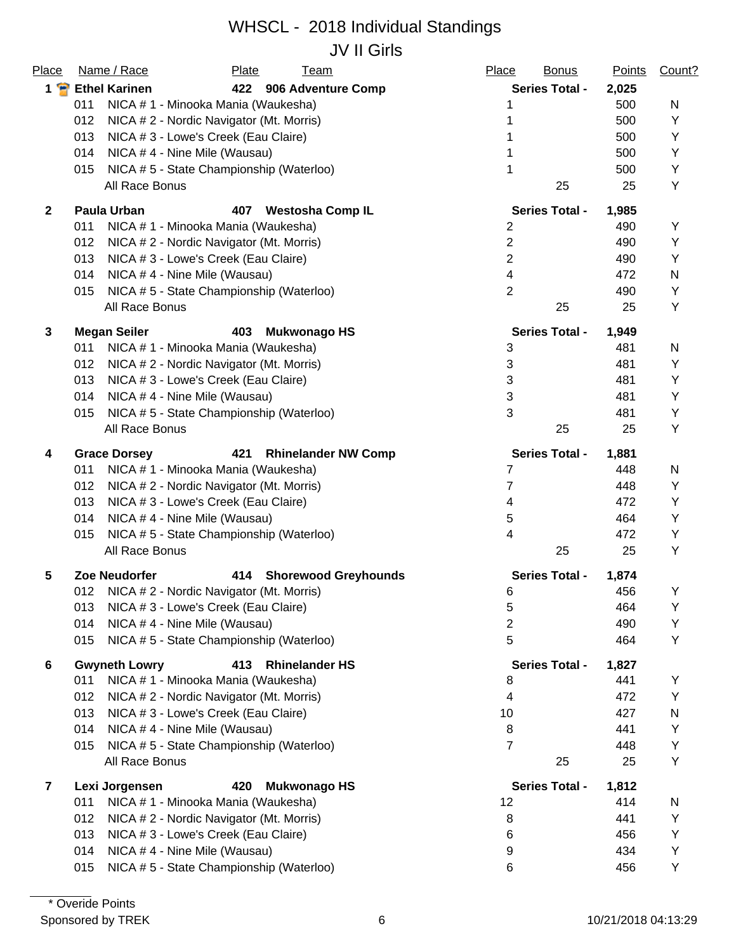# WHSCL - 2018 Individual Standings

JV II Girls

| Place                   | Name / Race<br>Plate<br><b>Team</b>                      | Place<br><b>Bonus</b>    | <b>Points</b> | Count? |
|-------------------------|----------------------------------------------------------|--------------------------|---------------|--------|
| $1$ $\bullet$           | <b>Ethel Karinen</b><br>422 906 Adventure Comp           | <b>Series Total -</b>    | 2,025         |        |
|                         | 011<br>NICA # 1 - Minooka Mania (Waukesha)               |                          | 500           | N      |
|                         | 012<br>NICA # 2 - Nordic Navigator (Mt. Morris)          |                          | 500           | Y      |
|                         | 013<br>NICA # 3 - Lowe's Creek (Eau Claire)              |                          | 500           | Y      |
|                         | 014<br>NICA #4 - Nine Mile (Wausau)                      |                          | 500           | Y      |
|                         | NICA # 5 - State Championship (Waterloo)<br>015          |                          | 500           | Υ      |
|                         | All Race Bonus                                           | 25                       | 25            | Y      |
| $\mathbf{2}$            | <b>Paula Urban</b><br>407<br><b>Westosha Comp IL</b>     | <b>Series Total -</b>    | 1,985         |        |
|                         | 011<br>NICA # 1 - Minooka Mania (Waukesha)               | $\overline{2}$           | 490           | Υ      |
|                         | 012<br>NICA # 2 - Nordic Navigator (Mt. Morris)          | $\overline{2}$           | 490           | Υ      |
|                         | 013<br>NICA # 3 - Lowe's Creek (Eau Claire)              | $\overline{2}$           | 490           | Y      |
|                         | 014<br>NICA #4 - Nine Mile (Wausau)                      | 4                        | 472           | N      |
|                         | NICA #5 - State Championship (Waterloo)<br>015           | $\overline{2}$           | 490           | Y      |
|                         | All Race Bonus                                           | 25                       | 25            | Υ      |
| 3                       | <b>Megan Seiler</b><br>403<br><b>Mukwonago HS</b>        | <b>Series Total -</b>    | 1,949         |        |
|                         | 011<br>NICA # 1 - Minooka Mania (Waukesha)               | 3                        | 481           | N      |
|                         | 012<br>NICA # 2 - Nordic Navigator (Mt. Morris)          | 3                        | 481           | Υ      |
|                         | 013<br>NICA # 3 - Lowe's Creek (Eau Claire)              | 3                        | 481           | Y      |
|                         | NICA #4 - Nine Mile (Wausau)<br>014                      | 3                        | 481           | Y      |
|                         | NICA #5 - State Championship (Waterloo)<br>015           | 3                        | 481           | Y      |
|                         | All Race Bonus                                           | 25                       | 25            | Υ      |
| 4                       | <b>Grace Dorsey</b><br>421<br><b>Rhinelander NW Comp</b> | <b>Series Total -</b>    | 1,881         |        |
|                         | NICA # 1 - Minooka Mania (Waukesha)<br>011               | 7                        | 448           | N      |
|                         | 012<br>NICA # 2 - Nordic Navigator (Mt. Morris)          | $\overline{7}$           | 448           | Υ      |
|                         | 013<br>NICA # 3 - Lowe's Creek (Eau Claire)              | 4                        | 472           | Y      |
|                         | 014<br>NICA #4 - Nine Mile (Wausau)                      | 5                        | 464           | Y      |
|                         | NICA #5 - State Championship (Waterloo)<br>015           | 4                        | 472           | Υ      |
|                         | All Race Bonus                                           | 25                       | 25            | Υ      |
| 5                       | <b>Zoe Neudorfer</b><br>414 Shorewood Greyhounds         | <b>Series Total -</b>    | 1,874         |        |
|                         | 012 NICA # 2 - Nordic Navigator (Mt. Morris)             | 6                        | 456           | Υ      |
|                         | NICA # 3 - Lowe's Creek (Eau Claire)<br>013              | 5                        | 464           | Υ      |
|                         | 014<br>NICA #4 - Nine Mile (Wausau)                      | $\overline{2}$           | 490           | Υ      |
|                         | 015<br>NICA #5 - State Championship (Waterloo)           | 5                        | 464           | Y      |
| 6                       | <b>Gwyneth Lowry</b><br>413<br><b>Rhinelander HS</b>     | <b>Series Total -</b>    | 1,827         |        |
|                         | 011<br>NICA # 1 - Minooka Mania (Waukesha)               | 8                        | 441           | Υ      |
|                         | 012<br>NICA # 2 - Nordic Navigator (Mt. Morris)          | $\overline{\mathcal{A}}$ | 472           | Υ      |
|                         | 013<br>NICA # 3 - Lowe's Creek (Eau Claire)              | 10                       | 427           | N      |
|                         | NICA #4 - Nine Mile (Wausau)<br>014                      | 8                        | 441           | Y      |
|                         | NICA #5 - State Championship (Waterloo)<br>015           | 7                        | 448           | Y      |
|                         | All Race Bonus                                           | 25                       | 25            | Y      |
| $\overline{\mathbf{r}}$ | Lexi Jorgensen<br>420<br><b>Mukwonago HS</b>             | <b>Series Total -</b>    | 1,812         |        |
|                         | NICA # 1 - Minooka Mania (Waukesha)<br>011               | 12                       | 414           | N      |
|                         | 012<br>NICA # 2 - Nordic Navigator (Mt. Morris)          | 8                        | 441           | Υ      |
|                         | 013<br>NICA # 3 - Lowe's Creek (Eau Claire)              | 6                        | 456           | Y      |
|                         | NICA #4 - Nine Mile (Wausau)<br>014                      | 9                        | 434           | Y      |
|                         | NICA #5 - State Championship (Waterloo)<br>015           | 6                        | 456           | Y      |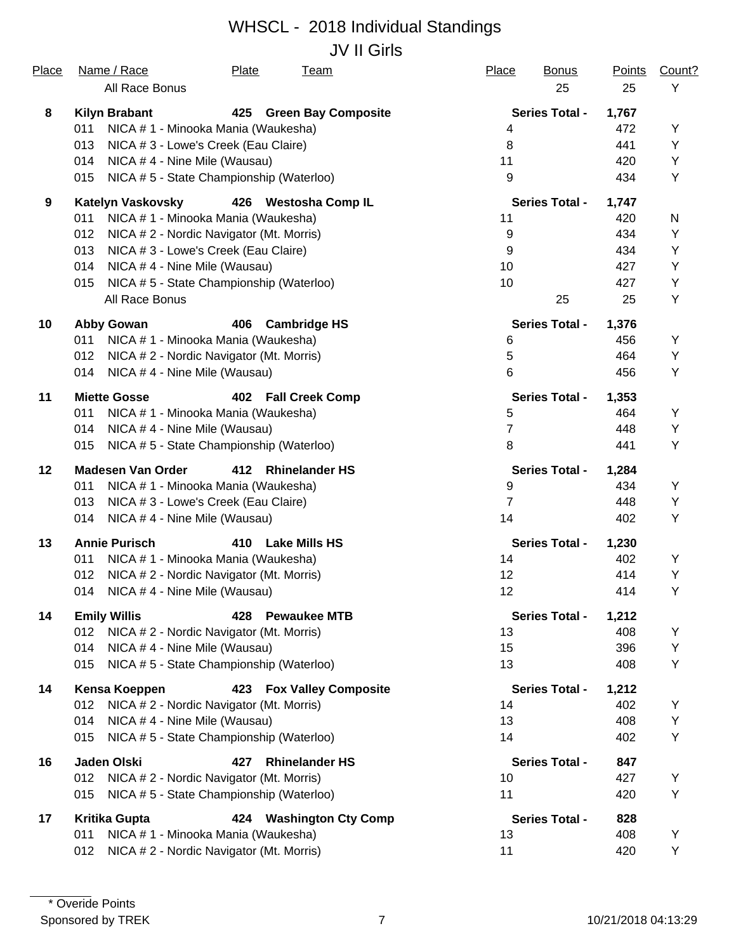## WHSCL - 2018 Individual Standings JV II Girls

| Place | Name / Race<br>All Race Bonus                   | Plate | <b>Team</b>                | Place          | <b>Bonus</b><br>25    | <b>Points</b><br>25 | Count?<br>Y |
|-------|-------------------------------------------------|-------|----------------------------|----------------|-----------------------|---------------------|-------------|
| 8     | <b>Kilyn Brabant</b>                            | 425   | <b>Green Bay Composite</b> |                | <b>Series Total -</b> | 1,767               |             |
|       | 011<br>NICA # 1 - Minooka Mania (Waukesha)      |       |                            | 4              |                       | 472                 | Y           |
|       | NICA # 3 - Lowe's Creek (Eau Claire)<br>013     |       |                            | 8              |                       | 441                 | Υ           |
|       | 014<br>NICA #4 - Nine Mile (Wausau)             |       |                            | 11             |                       | 420                 | Y           |
|       | NICA #5 - State Championship (Waterloo)<br>015  |       |                            | 9              |                       | 434                 | Y           |
| 9     | Katelyn Vaskovsky                               |       | 426 Westosha Comp IL       |                | <b>Series Total -</b> | 1,747               |             |
|       | 011<br>NICA # 1 - Minooka Mania (Waukesha)      |       |                            | 11             |                       | 420                 | N           |
|       | 012<br>NICA # 2 - Nordic Navigator (Mt. Morris) |       |                            | 9              |                       | 434                 | Y           |
|       | 013<br>NICA # 3 - Lowe's Creek (Eau Claire)     |       |                            | 9              |                       | 434                 | Υ           |
|       | NICA #4 - Nine Mile (Wausau)<br>014             |       |                            | 10             |                       | 427                 | Υ           |
|       | NICA #5 - State Championship (Waterloo)<br>015  |       |                            | 10             |                       | 427                 | Υ           |
|       | All Race Bonus                                  |       |                            |                | 25                    | 25                  | Y           |
| 10    | <b>Abby Gowan</b>                               | 406   | <b>Cambridge HS</b>        |                | <b>Series Total -</b> | 1,376               |             |
|       | 011<br>NICA # 1 - Minooka Mania (Waukesha)      |       |                            | 6              |                       | 456                 | Υ           |
|       | 012<br>NICA # 2 - Nordic Navigator (Mt. Morris) |       |                            | 5              |                       | 464                 | Υ           |
|       | NICA #4 - Nine Mile (Wausau)<br>014             |       |                            | 6              |                       | 456                 | Y           |
| 11    | <b>Miette Gosse</b>                             |       | 402 Fall Creek Comp        |                | <b>Series Total -</b> | 1,353               |             |
|       | 011<br>NICA # 1 - Minooka Mania (Waukesha)      |       |                            | 5              |                       | 464                 | Y           |
|       | NICA #4 - Nine Mile (Wausau)<br>014             |       |                            | $\overline{7}$ |                       | 448                 | Υ           |
|       | NICA # 5 - State Championship (Waterloo)<br>015 |       |                            | 8              |                       | 441                 | Y           |
| 12    | <b>Madesen Van Order</b>                        | 412   | <b>Rhinelander HS</b>      |                | <b>Series Total -</b> | 1,284               |             |
|       | 011<br>NICA # 1 - Minooka Mania (Waukesha)      |       |                            | 9              |                       | 434                 | Υ           |
|       | 013<br>NICA # 3 - Lowe's Creek (Eau Claire)     |       |                            | 7              |                       | 448                 | Υ           |
|       | NICA # 4 - Nine Mile (Wausau)<br>014            |       |                            | 14             |                       | 402                 | Υ           |
| 13    | <b>Annie Purisch</b>                            | 410   | <b>Lake Mills HS</b>       |                | <b>Series Total -</b> | 1,230               |             |
|       | 011<br>NICA # 1 - Minooka Mania (Waukesha)      |       |                            | 14             |                       | 402                 | Y           |
|       | 012<br>NICA # 2 - Nordic Navigator (Mt. Morris) |       |                            | 12             |                       | 414                 | Υ           |
|       | NICA #4 - Nine Mile (Wausau)<br>014             |       |                            | 12             |                       | 414                 | Υ           |
| 14    | <b>Emily Willis</b>                             |       | 428 Pewaukee MTB           |                | <b>Series Total -</b> | 1,212               |             |
|       | 012<br>NICA # 2 - Nordic Navigator (Mt. Morris) |       |                            | 13             |                       | 408                 | Υ           |
|       | 014<br>NICA #4 - Nine Mile (Wausau)             |       |                            | 15             |                       | 396                 | Υ           |
|       | NICA #5 - State Championship (Waterloo)<br>015  |       |                            | 13             |                       | 408                 | Y           |
| 14    | Kensa Koeppen                                   |       | 423 Fox Valley Composite   |                | <b>Series Total -</b> | 1,212               |             |
|       | NICA # 2 - Nordic Navigator (Mt. Morris)<br>012 |       |                            | 14             |                       | 402                 | Υ           |
|       | 014<br>NICA #4 - Nine Mile (Wausau)             |       |                            | 13             |                       | 408                 | Υ           |
|       | NICA # 5 - State Championship (Waterloo)<br>015 |       |                            | 14             |                       | 402                 | Υ           |
| 16    | Jaden Olski                                     | 427   | <b>Rhinelander HS</b>      |                | <b>Series Total -</b> | 847                 |             |
|       | 012<br>NICA # 2 - Nordic Navigator (Mt. Morris) |       |                            | 10             |                       | 427                 | Y           |
|       | NICA #5 - State Championship (Waterloo)<br>015  |       |                            | 11             |                       | 420                 | Υ           |
| 17    | <b>Kritika Gupta</b>                            |       | 424 Washington Cty Comp    |                | <b>Series Total -</b> | 828                 |             |
|       | NICA # 1 - Minooka Mania (Waukesha)<br>011      |       |                            | 13             |                       | 408                 | Y           |
|       | NICA # 2 - Nordic Navigator (Mt. Morris)<br>012 |       |                            | 11             |                       | 420                 | Υ           |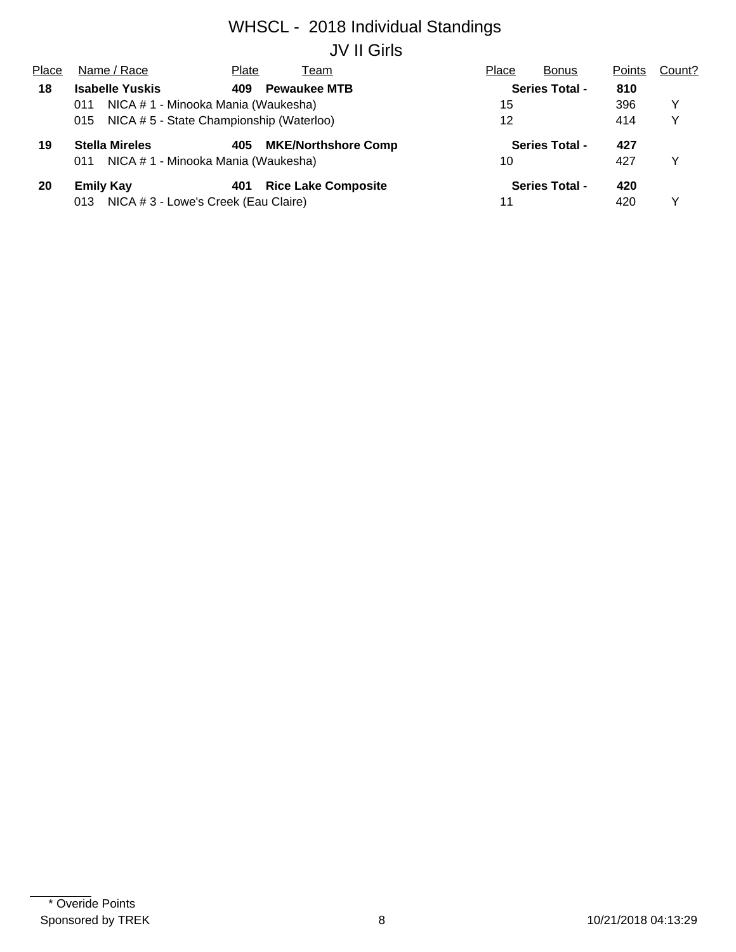# WHSCL - 2018 Individual Standings JV II Girls

| Place | Name / Race                                    | Plate | Геаm                       | Place | <b>Bonus</b>          | Points | Count? |
|-------|------------------------------------------------|-------|----------------------------|-------|-----------------------|--------|--------|
| 18    | <b>Isabelle Yuskis</b>                         | 409   | <b>Pewaukee MTB</b>        |       | <b>Series Total -</b> | 810    |        |
|       | NICA # 1 - Minooka Mania (Waukesha)<br>011     |       |                            | 15    |                       | 396    | Y      |
|       | NICA #5 - State Championship (Waterloo)<br>015 |       |                            | 12    |                       | 414    | v      |
| 19    | <b>Stella Mireles</b>                          | 405   | <b>MKE/Northshore Comp</b> |       | <b>Series Total -</b> | 427    |        |
|       | NICA # 1 - Minooka Mania (Waukesha)<br>011     |       |                            | 10    |                       | 427    | Y      |
| 20    | <b>Emily Kay</b>                               | 401   | <b>Rice Lake Composite</b> |       | <b>Series Total -</b> | 420    |        |
|       | NICA # 3 - Lowe's Creek (Eau Claire)<br>013    |       |                            | 11    |                       | 420    |        |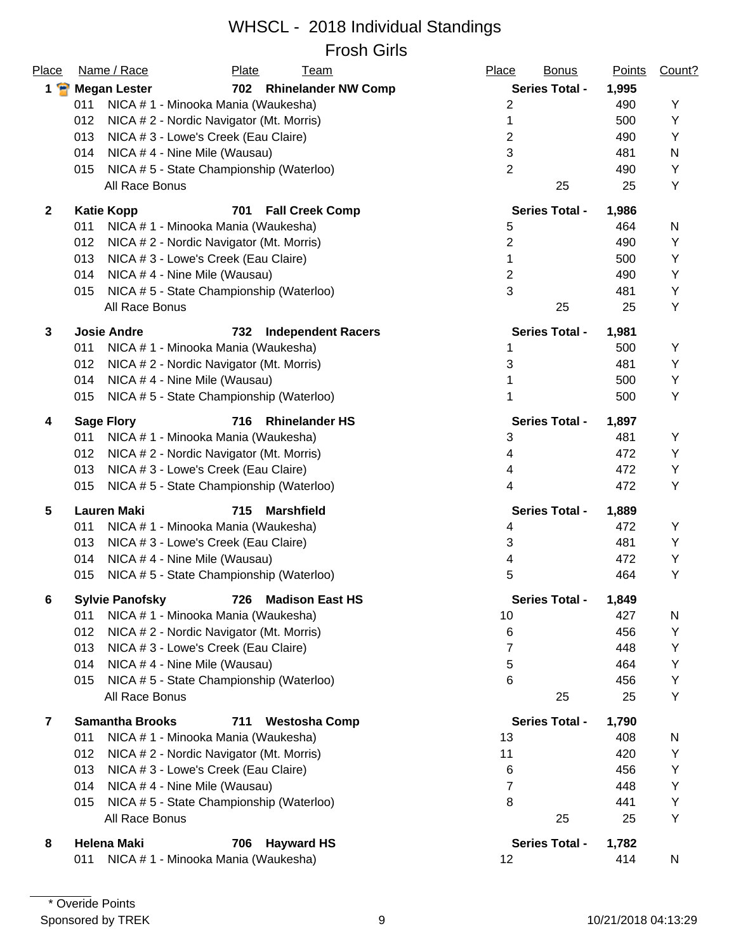#### WHSCL - 2018 Individual Standings Frosh Girls

| Place              | Name / Race<br><b>Plate</b><br><b>Team</b>              | Place<br><b>Bonus</b> | <b>Points</b> | Count? |
|--------------------|---------------------------------------------------------|-----------------------|---------------|--------|
| $1$ $\blacksquare$ | 702 Rhinelander NW Comp<br><b>Megan Lester</b>          | <b>Series Total -</b> | 1,995         |        |
|                    | 011<br>NICA # 1 - Minooka Mania (Waukesha)              | 2                     | 490           | Y      |
|                    | 012<br>NICA # 2 - Nordic Navigator (Mt. Morris)         | 1                     | 500           | Υ      |
|                    | 013<br>NICA # 3 - Lowe's Creek (Eau Claire)             | 2                     | 490           | Υ      |
|                    | 014<br>NICA #4 - Nine Mile (Wausau)                     | 3                     | 481           | N      |
|                    | 015<br>NICA #5 - State Championship (Waterloo)          | $\overline{2}$        | 490           | Υ      |
|                    | All Race Bonus                                          | 25                    | 25            | Υ      |
| $\mathbf{2}$       | <b>Katie Kopp</b><br>701<br><b>Fall Creek Comp</b>      | <b>Series Total -</b> | 1,986         |        |
|                    | 011<br>NICA # 1 - Minooka Mania (Waukesha)              | 5                     | 464           | N      |
|                    | 012<br>NICA # 2 - Nordic Navigator (Mt. Morris)         | $\overline{2}$        | 490           | Υ      |
|                    | 013<br>NICA # 3 - Lowe's Creek (Eau Claire)             | 1                     | 500           | Υ      |
|                    | NICA #4 - Nine Mile (Wausau)<br>014                     | 2                     | 490           | Υ      |
|                    | NICA #5 - State Championship (Waterloo)<br>015          | 3                     | 481           | Υ      |
|                    | All Race Bonus                                          | 25                    | 25            | Υ      |
| 3                  | <b>Josie Andre</b><br>732<br><b>Independent Racers</b>  | <b>Series Total -</b> | 1,981         |        |
|                    | 011<br>NICA # 1 - Minooka Mania (Waukesha)              | 1                     | 500           | Υ      |
|                    | 012<br>NICA # 2 - Nordic Navigator (Mt. Morris)         | 3                     | 481           | Υ      |
|                    | 014<br>NICA #4 - Nine Mile (Wausau)                     | 1                     | 500           | Υ      |
|                    | 015<br>NICA #5 - State Championship (Waterloo)          | 1                     | 500           | Υ      |
| 4                  | <b>Rhinelander HS</b><br><b>Sage Flory</b><br>716       | Series Total -        | 1,897         |        |
|                    | 011<br>NICA # 1 - Minooka Mania (Waukesha)              | 3                     | 481           | Υ      |
|                    | 012<br>NICA # 2 - Nordic Navigator (Mt. Morris)         | 4                     | 472           | Υ      |
|                    | 013<br>NICA # 3 - Lowe's Creek (Eau Claire)             | 4                     | 472           | Υ      |
|                    | 015<br>NICA #5 - State Championship (Waterloo)          | 4                     | 472           | Υ      |
| 5                  | <b>Lauren Maki</b><br>715<br><b>Marshfield</b>          | <b>Series Total -</b> | 1,889         |        |
|                    | NICA # 1 - Minooka Mania (Waukesha)<br>011              | 4                     | 472           | Y      |
|                    | 013<br>NICA # 3 - Lowe's Creek (Eau Claire)             | 3                     | 481           | Υ      |
|                    | 014<br>NICA #4 - Nine Mile (Wausau)                     | 4                     | 472           | Υ      |
|                    | 015<br>NICA #5 - State Championship (Waterloo)          | 5                     | 464           | Y      |
| 6                  | <b>Sylvie Panofsky</b><br><b>Madison East HS</b><br>726 | <b>Series Total -</b> | 1,849         |        |
|                    | 011<br>NICA # 1 - Minooka Mania (Waukesha)              | 10                    | 427           | N      |
|                    | 012<br>NICA # 2 - Nordic Navigator (Mt. Morris)         | 6                     | 456           | Υ      |
|                    | 013<br>NICA # 3 - Lowe's Creek (Eau Claire)             | 7                     | 448           | Υ      |
|                    | 014<br>NICA # 4 - Nine Mile (Wausau)                    | 5                     | 464           | Υ      |
|                    | NICA #5 - State Championship (Waterloo)<br>015          | 6                     | 456           | Υ      |
|                    | All Race Bonus                                          | 25                    | 25            | Υ      |
| 7                  | <b>Samantha Brooks</b><br>711<br><b>Westosha Comp</b>   | <b>Series Total -</b> | 1,790         |        |
|                    | 011<br>NICA # 1 - Minooka Mania (Waukesha)              | 13                    | 408           | N      |
|                    | 012<br>NICA # 2 - Nordic Navigator (Mt. Morris)         | 11                    | 420           | Υ      |
|                    | 013<br>NICA # 3 - Lowe's Creek (Eau Claire)             | 6                     | 456           | Υ      |
|                    | 014<br>NICA # 4 - Nine Mile (Wausau)                    | 7                     | 448           | Υ      |
|                    | NICA #5 - State Championship (Waterloo)<br>015          | 8                     | 441           | Υ      |
|                    | All Race Bonus                                          | 25                    | 25            | Υ      |
| 8                  | <b>Helena Maki</b><br><b>Hayward HS</b><br>706          | <b>Series Total -</b> | 1,782         |        |
|                    | NICA # 1 - Minooka Mania (Waukesha)<br>011              | 12                    | 414           | N      |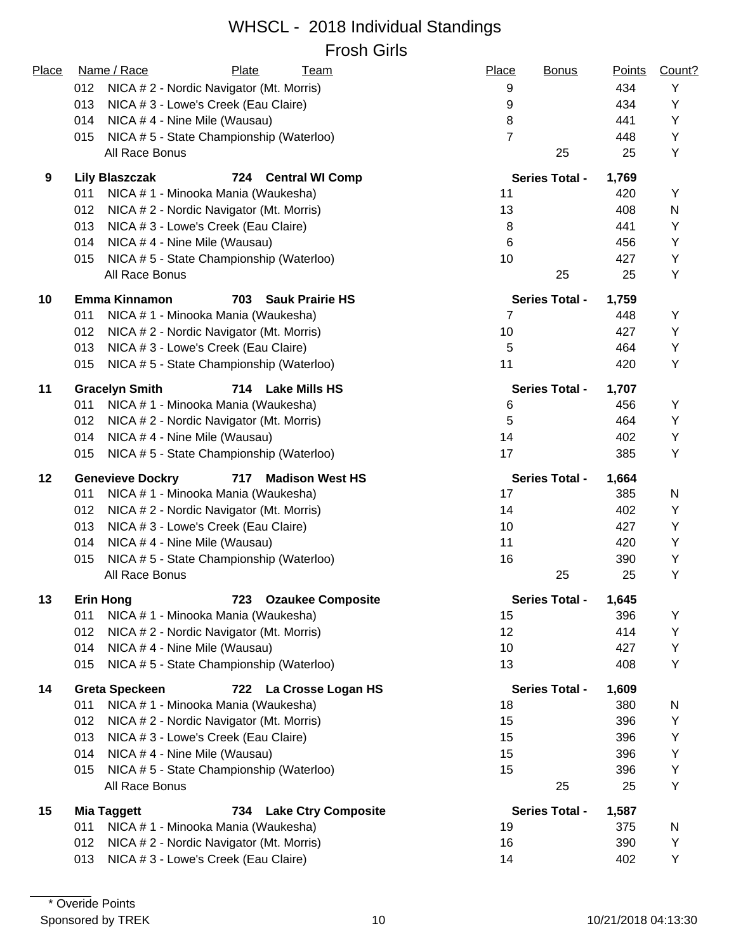#### WHSCL - 2018 Individual Standings Frosh Girls

| Place | Name / Race<br>Plate<br><u>Team</u>                      | Place<br><b>Bonus</b> | Points | Count? |
|-------|----------------------------------------------------------|-----------------------|--------|--------|
|       | 012<br>NICA # 2 - Nordic Navigator (Mt. Morris)          | 9                     | 434    | Υ      |
|       | 013<br>NICA # 3 - Lowe's Creek (Eau Claire)              | 9                     | 434    | Y      |
|       | 014<br>NICA #4 - Nine Mile (Wausau)                      | 8                     | 441    | Y      |
|       | NICA #5 - State Championship (Waterloo)<br>015           | $\overline{7}$        | 448    | Y      |
|       | All Race Bonus                                           | 25                    | 25     | Y      |
| 9     | <b>Lily Blaszczak</b><br>724<br><b>Central WI Comp</b>   | <b>Series Total -</b> | 1,769  |        |
|       | 011<br>NICA # 1 - Minooka Mania (Waukesha)               | 11                    | 420    | Y      |
|       | 012<br>NICA # 2 - Nordic Navigator (Mt. Morris)          | 13                    | 408    | N      |
|       | 013<br>NICA # 3 - Lowe's Creek (Eau Claire)              | 8                     | 441    | Y      |
|       | 014<br>NICA #4 - Nine Mile (Wausau)                      | 6                     | 456    | Υ      |
|       | NICA #5 - State Championship (Waterloo)<br>015           | 10                    | 427    | Υ      |
|       | All Race Bonus                                           | 25                    | 25     | Υ      |
| 10    | <b>Emma Kinnamon</b><br>703<br><b>Sauk Prairie HS</b>    | <b>Series Total -</b> | 1,759  |        |
|       | 011<br>NICA # 1 - Minooka Mania (Waukesha)               | $\overline{7}$        | 448    | Y      |
|       | 012<br>NICA # 2 - Nordic Navigator (Mt. Morris)          | 10                    | 427    | Y      |
|       | NICA # 3 - Lowe's Creek (Eau Claire)<br>013              | 5                     | 464    | Y      |
|       | NICA #5 - State Championship (Waterloo)<br>015           | 11                    | 420    | Y      |
| 11    | <b>Gracelyn Smith</b><br>714 Lake Mills HS               | <b>Series Total -</b> | 1,707  |        |
|       | NICA # 1 - Minooka Mania (Waukesha)<br>011               | 6                     | 456    | Y      |
|       | 012<br>NICA # 2 - Nordic Navigator (Mt. Morris)          | 5                     | 464    | Y      |
|       | 014<br>NICA #4 - Nine Mile (Wausau)                      | 14                    | 402    | Y      |
|       | NICA #5 - State Championship (Waterloo)<br>015           | 17                    | 385    | Y      |
| 12    | <b>Genevieve Dockry</b><br>717<br><b>Madison West HS</b> | <b>Series Total -</b> | 1,664  |        |
|       | 011<br>NICA # 1 - Minooka Mania (Waukesha)               | 17                    | 385    | N      |
|       | NICA # 2 - Nordic Navigator (Mt. Morris)<br>012          | 14                    | 402    | Y      |
|       | 013<br>NICA # 3 - Lowe's Creek (Eau Claire)              | 10                    | 427    | Y      |
|       | 014<br>NICA #4 - Nine Mile (Wausau)                      | 11                    | 420    | Y      |
|       | NICA #5 - State Championship (Waterloo)<br>015           | 16                    | 390    | Y      |
|       | All Race Bonus                                           | 25                    | 25     | Y      |
| 13    | 723 Ozaukee Composite<br><b>Erin Hong</b>                | <b>Series Total -</b> | 1,645  |        |
|       | 011<br>NICA # 1 - Minooka Mania (Waukesha)               | 15                    | 396    | Υ      |
|       | 012<br>NICA # 2 - Nordic Navigator (Mt. Morris)          | 12                    | 414    | Υ      |
|       | NICA #4 - Nine Mile (Wausau)<br>014                      | 10                    | 427    | Υ      |
|       | NICA #5 - State Championship (Waterloo)<br>015           | 13                    | 408    | Y      |
| 14    | <b>Greta Speckeen</b><br>722 La Crosse Logan HS          | <b>Series Total -</b> | 1,609  |        |
|       | 011<br>NICA # 1 - Minooka Mania (Waukesha)               | 18                    | 380    | N      |
|       | 012<br>NICA # 2 - Nordic Navigator (Mt. Morris)          | 15                    | 396    | Υ      |
|       | 013<br>NICA # 3 - Lowe's Creek (Eau Claire)              | 15                    | 396    | Y      |
|       | 014<br>NICA #4 - Nine Mile (Wausau)                      | 15                    | 396    | Υ      |
|       | NICA #5 - State Championship (Waterloo)<br>015           | 15                    | 396    | Y      |
|       | All Race Bonus                                           | 25                    | 25     | Y      |
| 15    | <b>Mia Taggett</b><br><b>Lake Ctry Composite</b><br>734  | <b>Series Total -</b> | 1,587  |        |
|       | 011<br>NICA # 1 - Minooka Mania (Waukesha)               | 19                    | 375    | N      |
|       | NICA # 2 - Nordic Navigator (Mt. Morris)<br>012          | 16                    | 390    | Υ      |
|       | NICA # 3 - Lowe's Creek (Eau Claire)<br>013              | 14                    | 402    | Υ      |